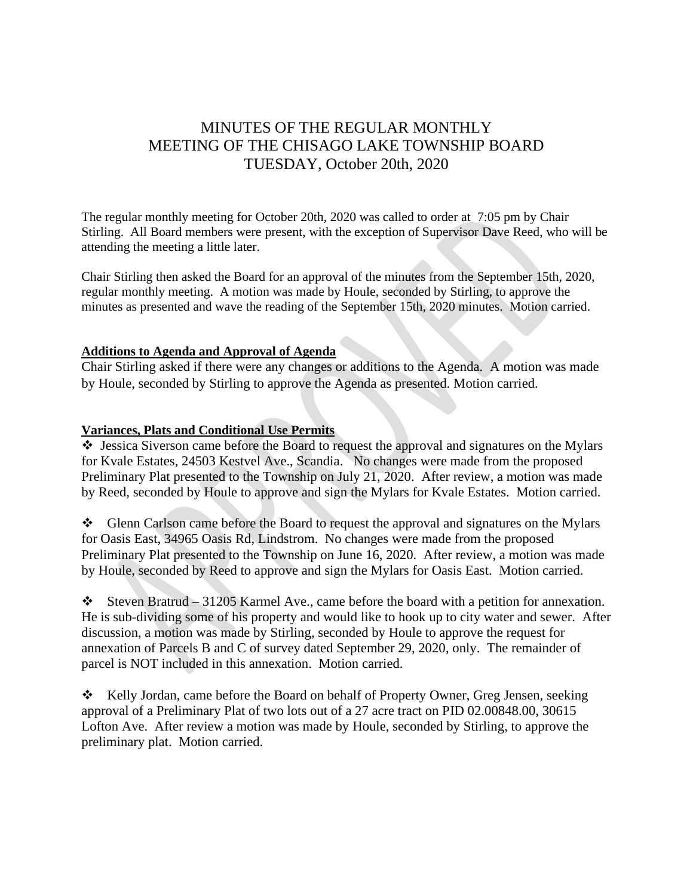# MINUTES OF THE REGULAR MONTHLY MEETING OF THE CHISAGO LAKE TOWNSHIP BOARD TUESDAY, October 20th, 2020

The regular monthly meeting for October 20th, 2020 was called to order at 7:05 pm by Chair Stirling. All Board members were present, with the exception of Supervisor Dave Reed, who will be attending the meeting a little later.

Chair Stirling then asked the Board for an approval of the minutes from the September 15th, 2020, regular monthly meeting. A motion was made by Houle, seconded by Stirling, to approve the minutes as presented and wave the reading of the September 15th, 2020 minutes. Motion carried.

## **Additions to Agenda and Approval of Agenda**

Chair Stirling asked if there were any changes or additions to the Agenda. A motion was made by Houle, seconded by Stirling to approve the Agenda as presented. Motion carried.

### **Variances, Plats and Conditional Use Permits**

❖ Jessica Siverson came before the Board to request the approval and signatures on the Mylars for Kvale Estates, 24503 Kestvel Ave., Scandia. No changes were made from the proposed Preliminary Plat presented to the Township on July 21, 2020. After review, a motion was made by Reed, seconded by Houle to approve and sign the Mylars for Kvale Estates. Motion carried.

❖ Glenn Carlson came before the Board to request the approval and signatures on the Mylars for Oasis East, 34965 Oasis Rd, Lindstrom. No changes were made from the proposed Preliminary Plat presented to the Township on June 16, 2020. After review, a motion was made by Houle, seconded by Reed to approve and sign the Mylars for Oasis East. Motion carried.

 $\div$  Steven Bratrud – 31205 Karmel Ave., came before the board with a petition for annexation. He is sub-dividing some of his property and would like to hook up to city water and sewer. After discussion, a motion was made by Stirling, seconded by Houle to approve the request for annexation of Parcels B and C of survey dated September 29, 2020, only. The remainder of parcel is NOT included in this annexation. Motion carried.

❖ Kelly Jordan, came before the Board on behalf of Property Owner, Greg Jensen, seeking approval of a Preliminary Plat of two lots out of a 27 acre tract on PID 02.00848.00, 30615 Lofton Ave. After review a motion was made by Houle, seconded by Stirling, to approve the preliminary plat. Motion carried.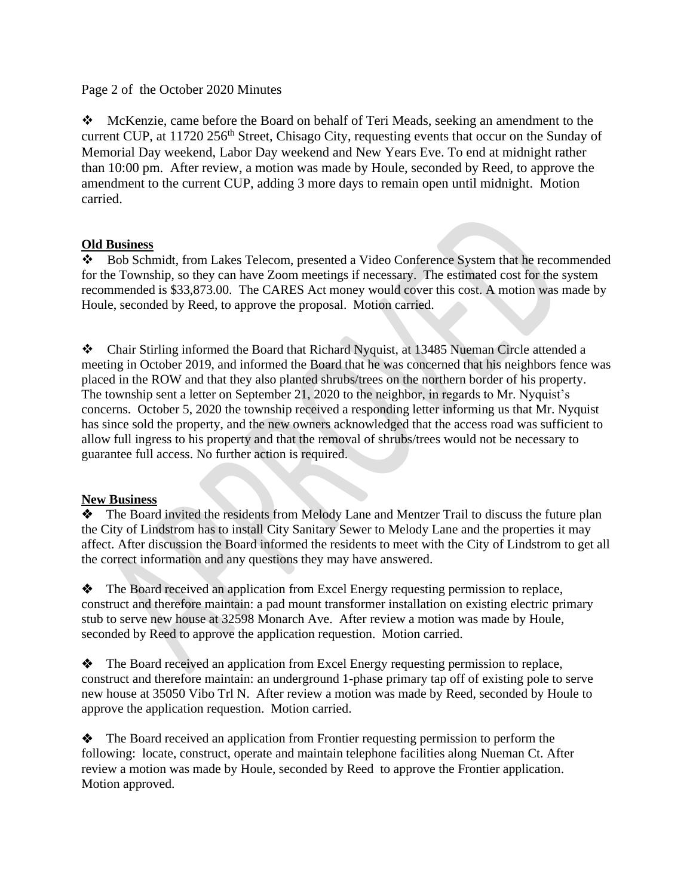## Page 2 of the October 2020 Minutes

❖ McKenzie, came before the Board on behalf of Teri Meads, seeking an amendment to the current CUP, at 11720 256<sup>th</sup> Street, Chisago City, requesting events that occur on the Sunday of Memorial Day weekend, Labor Day weekend and New Years Eve. To end at midnight rather than 10:00 pm. After review, a motion was made by Houle, seconded by Reed, to approve the amendment to the current CUP, adding 3 more days to remain open until midnight. Motion carried.

# **Old Business**

❖ Bob Schmidt, from Lakes Telecom, presented a Video Conference System that he recommended for the Township, so they can have Zoom meetings if necessary. The estimated cost for the system recommended is \$33,873.00. The CARES Act money would cover this cost. A motion was made by Houle, seconded by Reed, to approve the proposal. Motion carried.

❖ Chair Stirling informed the Board that Richard Nyquist, at 13485 Nueman Circle attended a meeting in October 2019, and informed the Board that he was concerned that his neighbors fence was placed in the ROW and that they also planted shrubs/trees on the northern border of his property. The township sent a letter on September 21, 2020 to the neighbor, in regards to Mr. Nyquist's concerns. October 5, 2020 the township received a responding letter informing us that Mr. Nyquist has since sold the property, and the new owners acknowledged that the access road was sufficient to allow full ingress to his property and that the removal of shrubs/trees would not be necessary to guarantee full access. No further action is required.

### **New Business**

❖ The Board invited the residents from Melody Lane and Mentzer Trail to discuss the future plan the City of Lindstrom has to install City Sanitary Sewer to Melody Lane and the properties it may affect. After discussion the Board informed the residents to meet with the City of Lindstrom to get all the correct information and any questions they may have answered.

❖ The Board received an application from Excel Energy requesting permission to replace, construct and therefore maintain: a pad mount transformer installation on existing electric primary stub to serve new house at 32598 Monarch Ave. After review a motion was made by Houle, seconded by Reed to approve the application requestion. Motion carried.

❖ The Board received an application from Excel Energy requesting permission to replace, construct and therefore maintain: an underground 1-phase primary tap off of existing pole to serve new house at 35050 Vibo Trl N. After review a motion was made by Reed, seconded by Houle to approve the application requestion. Motion carried.

❖ The Board received an application from Frontier requesting permission to perform the following: locate, construct, operate and maintain telephone facilities along Nueman Ct. After review a motion was made by Houle, seconded by Reed to approve the Frontier application. Motion approved.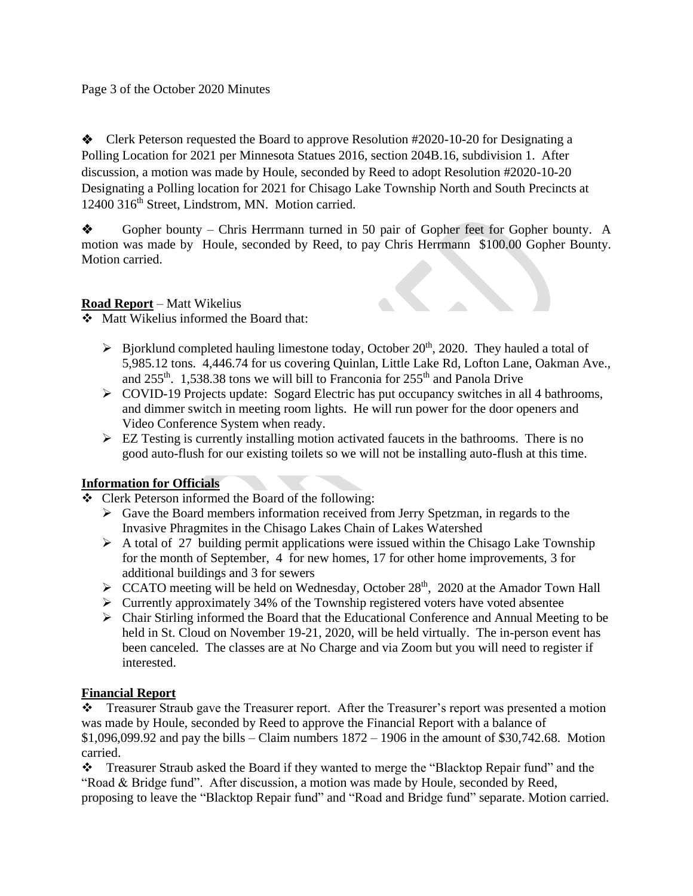## Page 3 of the October 2020 Minutes

❖ Clerk Peterson requested the Board to approve Resolution #2020-10-20 for Designating a Polling Location for 2021 per Minnesota Statues 2016, section 204B.16, subdivision 1. After discussion, a motion was made by Houle, seconded by Reed to adopt Resolution #2020-10-20 Designating a Polling location for 2021 for Chisago Lake Township North and South Precincts at 12400 316<sup>th</sup> Street, Lindstrom, MN. Motion carried.

❖ Gopher bounty – Chris Herrmann turned in 50 pair of Gopher feet for Gopher bounty. A motion was made by Houle, seconded by Reed, to pay Chris Herrmann \$100.00 Gopher Bounty. Motion carried.

# **Road Report** – Matt Wikelius

❖ Matt Wikelius informed the Board that:

- $\triangleright$  Bjorklund completed hauling limestone today, October 20<sup>th</sup>, 2020. They hauled a total of 5,985.12 tons. 4,446.74 for us covering Quinlan, Little Lake Rd, Lofton Lane, Oakman Ave., and  $255<sup>th</sup>$ . 1,538.38 tons we will bill to Franconia for  $255<sup>th</sup>$  and Panola Drive
- ➢ COVID-19 Projects update: Sogard Electric has put occupancy switches in all 4 bathrooms, and dimmer switch in meeting room lights. He will run power for the door openers and Video Conference System when ready.
- ➢ EZ Testing is currently installing motion activated faucets in the bathrooms. There is no good auto-flush for our existing toilets so we will not be installing auto-flush at this time.

# **Information for Officials**

- ❖ Clerk Peterson informed the Board of the following:
	- $\triangleright$  Gave the Board members information received from Jerry Spetzman, in regards to the Invasive Phragmites in the Chisago Lakes Chain of Lakes Watershed
	- $\triangleright$  A total of 27 building permit applications were issued within the Chisago Lake Township for the month of September, 4 for new homes, 17 for other home improvements, 3 for additional buildings and 3 for sewers
	- ▶ CCATO meeting will be held on Wednesday, October 28<sup>th</sup>, 2020 at the Amador Town Hall
	- ➢ Currently approximately 34% of the Township registered voters have voted absentee
	- ➢ Chair Stirling informed the Board that the Educational Conference and Annual Meeting to be held in St. Cloud on November 19-21, 2020, will be held virtually. The in-person event has been canceled. The classes are at No Charge and via Zoom but you will need to register if interested.

# **Financial Report**

❖ Treasurer Straub gave the Treasurer report. After the Treasurer's report was presented a motion was made by Houle, seconded by Reed to approve the Financial Report with a balance of  $$1,096,099.92$  and pay the bills – Claim numbers  $1872 - 1906$  in the amount of \$30,742.68. Motion carried.

❖ Treasurer Straub asked the Board if they wanted to merge the "Blacktop Repair fund" and the "Road & Bridge fund". After discussion, a motion was made by Houle, seconded by Reed, proposing to leave the "Blacktop Repair fund" and "Road and Bridge fund" separate. Motion carried.